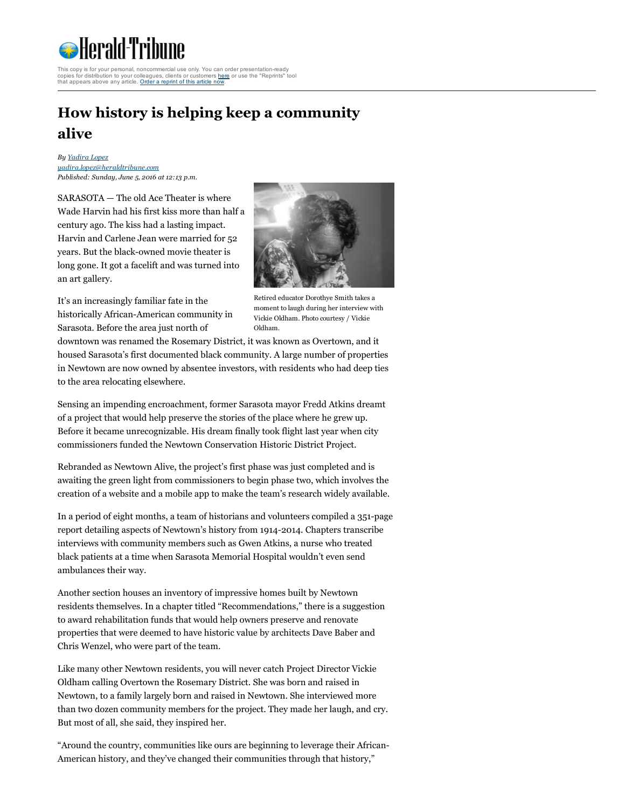

rsonal, noncommercial use only. You can order presentation-ready copies for distribution to your colleagues, clients or customers [here](http://www.magreprints.com/reprint-products-quote-request/?cf2_field_17=g52-shweb.newscyclecloud.com&cf2_field_18=&cf2_field_19=16%2F06%2F2016) or use the "Reprints" tool that appears above any article. Order a [reprint](http://www.magreprints.com/reprint-products-quote-request/?cf2_field_17=g52-shweb.newscyclecloud.com&cf2_field_18=&cf2_field_19=16%2F06%2F2016) of this article now.

## How history is helping keep a community alive

By [Yadira](http://g52-shweb.newscyclecloud.com/personalia/yadira.lopez) Lopez [yadira.lopez@heraldtribune.com](mailto:yadira.lopez@heraldtribune.com) Published: Sunday, June 5, 2016 at 12:13 p.m.

SARASOTA — The old Ace Theater is where Wade Harvin had his first kiss more than half a century ago. The kiss had a lasting impact. Harvin and Carlene Jean were married for 52 years. But the black-owned movie theater is long gone. It got a facelift and was turned into an art gallery.



It's an increasingly familiar fate in the historically African-American community in Sarasota. Before the area just north of

Retired educator Dorothye Smith takes a moment to laugh during her interview with Vickie Oldham. Photo courtesy / Vickie Oldham.

downtown was renamed the Rosemary District, it was known as Overtown, and it housed Sarasota's first documented black community. A large number of properties in Newtown are now owned by absentee investors, with residents who had deep ties to the area relocating elsewhere.

Sensing an impending encroachment, former Sarasota mayor Fredd Atkins dreamt of a project that would help preserve the stories of the place where he grew up. Before it became unrecognizable. His dream finally took flight last year when city commissioners funded the Newtown Conservation Historic District Project.

Rebranded as Newtown Alive, the project's first phase was just completed and is awaiting the green light from commissioners to begin phase two, which involves the creation of a website and a mobile app to make the team's research widely available.

In a period of eight months, a team of historians and volunteers compiled a 351-page report detailing aspects of Newtown's history from 1914-2014. Chapters transcribe interviews with community members such as Gwen Atkins, a nurse who treated black patients at a time when Sarasota Memorial Hospital wouldn't even send ambulances their way.

Another section houses an inventory of impressive homes built by Newtown residents themselves. In a chapter titled "Recommendations," there is a suggestion to award rehabilitation funds that would help owners preserve and renovate properties that were deemed to have historic value by architects Dave Baber and Chris Wenzel, who were part of the team.

Like many other Newtown residents, you will never catch Project Director Vickie Oldham calling Overtown the Rosemary District. She was born and raised in Newtown, to a family largely born and raised in Newtown. She interviewed more than two dozen community members for the project. They made her laugh, and cry. But most of all, she said, they inspired her.

"Around the country, communities like ours are beginning to leverage their African-American history, and they've changed their communities through that history,"